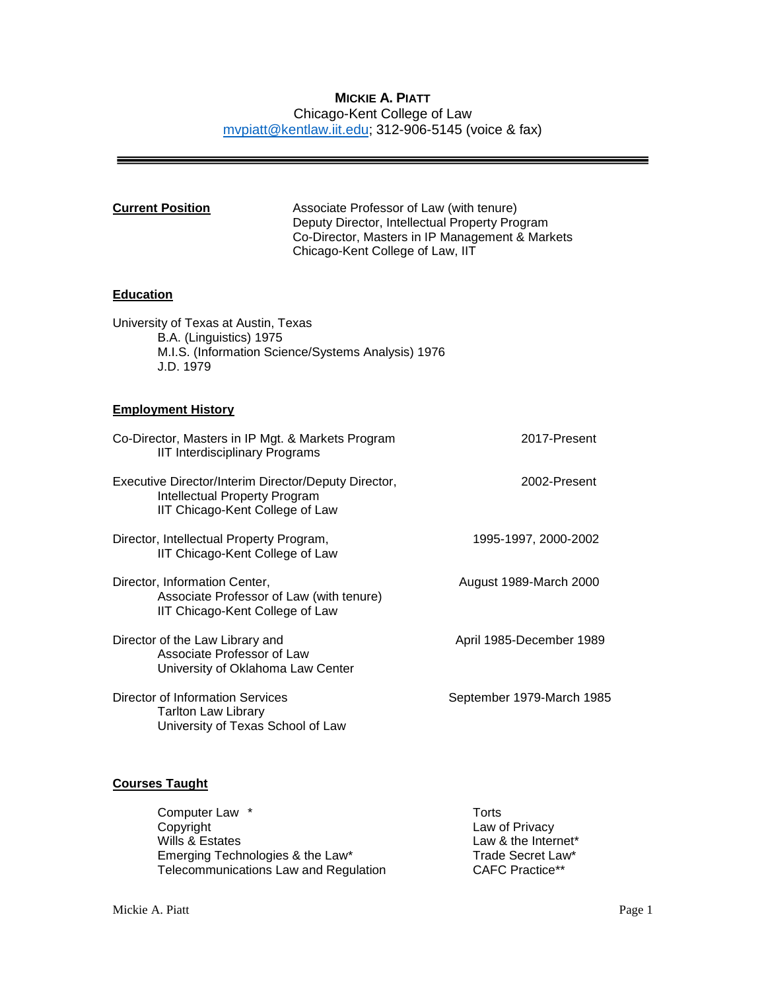# **MICKIE A. PIATT** Chicago-Kent College of Law [mvpiatt@kentlaw.iit.edu;](mailto:mvpiatt@kentlaw.iit.edu) 312-906-5145 (voice & fax)

| <b>Current Position</b>                                                                                                            | Associate Professor of Law (with tenure)<br>Deputy Director, Intellectual Property Program<br>Co-Director, Masters in IP Management & Markets<br>Chicago-Kent College of Law, IIT |                           |  |
|------------------------------------------------------------------------------------------------------------------------------------|-----------------------------------------------------------------------------------------------------------------------------------------------------------------------------------|---------------------------|--|
| <b>Education</b>                                                                                                                   |                                                                                                                                                                                   |                           |  |
| University of Texas at Austin, Texas<br>B.A. (Linguistics) 1975<br>M.I.S. (Information Science/Systems Analysis) 1976<br>J.D. 1979 |                                                                                                                                                                                   |                           |  |
| <b>Employment History</b>                                                                                                          |                                                                                                                                                                                   |                           |  |
| Co-Director, Masters in IP Mgt. & Markets Program<br><b>IIT Interdisciplinary Programs</b>                                         |                                                                                                                                                                                   | 2017-Present              |  |
| Executive Director/Interim Director/Deputy Director,<br><b>Intellectual Property Program</b><br>IIT Chicago-Kent College of Law    |                                                                                                                                                                                   | 2002-Present              |  |
| Director, Intellectual Property Program,<br>IIT Chicago-Kent College of Law                                                        |                                                                                                                                                                                   | 1995-1997, 2000-2002      |  |
| Director, Information Center,<br>Associate Professor of Law (with tenure)<br>IIT Chicago-Kent College of Law                       |                                                                                                                                                                                   | August 1989-March 2000    |  |
| Director of the Law Library and<br>Associate Professor of Law<br>University of Oklahoma Law Center                                 |                                                                                                                                                                                   | April 1985-December 1989  |  |
| <b>Director of Information Services</b><br><b>Tarlton Law Library</b><br>University of Texas School of Law                         |                                                                                                                                                                                   | September 1979-March 1985 |  |

# **Courses Taught**

 $\overline{\phantom{a}}$ 

| Computer Law *                        | Torts                  |
|---------------------------------------|------------------------|
| Copyright                             | Law of Privacy         |
| Wills & Estates                       | Law & the Internet*    |
| Emerging Technologies & the Law*      | Trade Secret Law*      |
| Telecommunications Law and Regulation | <b>CAFC Practice**</b> |

 $\equiv$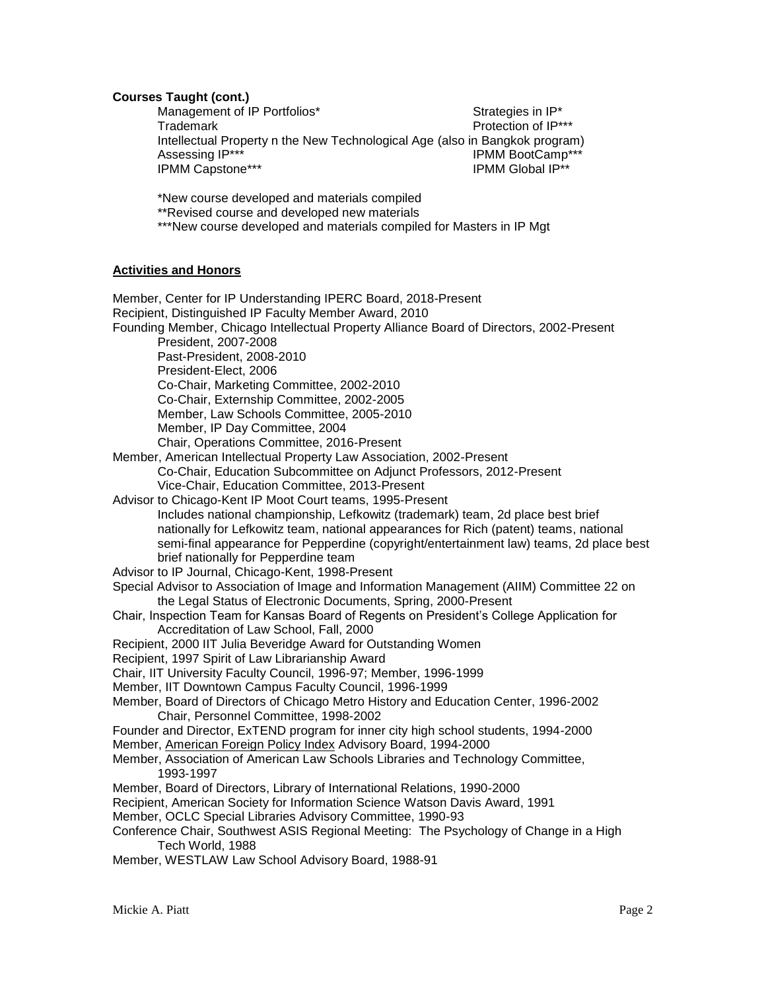### **Courses Taught (cont.)**

Management of IP Portfolios\* Strategies in IP\* Trademark **Protection of IP\*\*\*** Intellectual Property n the New Technological Age (also in Bangkok program) Assessing IP\*\*\* The Contract of the Contract of the IPMM BootCamp\*\*\* IPMM Capstone\*\*\* The Contract of the IPMM Global IP\*\*

\*New course developed and materials compiled

\*\*Revised course and developed new materials

\*\*\*New course developed and materials compiled for Masters in IP Mgt

### **Activities and Honors**

Member, Center for IP Understanding IPERC Board, 2018-Present Recipient, Distinguished IP Faculty Member Award, 2010 Founding Member, Chicago Intellectual Property Alliance Board of Directors, 2002-Present President, 2007-2008 Past-President, 2008-2010 President-Elect, 2006 Co-Chair, Marketing Committee, 2002-2010 Co-Chair, Externship Committee, 2002-2005 Member, Law Schools Committee, 2005-2010 Member, IP Day Committee, 2004 Chair, Operations Committee, 2016-Present Member, American Intellectual Property Law Association, 2002-Present Co-Chair, Education Subcommittee on Adjunct Professors, 2012-Present Vice-Chair, Education Committee, 2013-Present Advisor to Chicago-Kent IP Moot Court teams, 1995-Present Includes national championship, Lefkowitz (trademark) team, 2d place best brief nationally for Lefkowitz team, national appearances for Rich (patent) teams, national semi-final appearance for Pepperdine (copyright/entertainment law) teams, 2d place best brief nationally for Pepperdine team Advisor to IP Journal, Chicago-Kent, 1998-Present Special Advisor to Association of Image and Information Management (AIIM) Committee 22 on the Legal Status of Electronic Documents, Spring, 2000-Present Chair, Inspection Team for Kansas Board of Regents on President's College Application for Accreditation of Law School, Fall, 2000 Recipient, 2000 IIT Julia Beveridge Award for Outstanding Women Recipient, 1997 Spirit of Law Librarianship Award Chair, IIT University Faculty Council, 1996-97; Member, 1996-1999 Member, IIT Downtown Campus Faculty Council, 1996-1999 Member, Board of Directors of Chicago Metro History and Education Center, 1996-2002 Chair, Personnel Committee, 1998-2002 Founder and Director, ExTEND program for inner city high school students, 1994-2000 Member, American Foreign Policy Index Advisory Board, 1994-2000 Member, Association of American Law Schools Libraries and Technology Committee, 1993-1997 Member, Board of Directors, Library of International Relations, 1990-2000 Recipient, American Society for Information Science Watson Davis Award, 1991 Member, OCLC Special Libraries Advisory Committee, 1990-93 Conference Chair, Southwest ASIS Regional Meeting: The Psychology of Change in a High Tech World, 1988 Member, WESTLAW Law School Advisory Board, 1988-91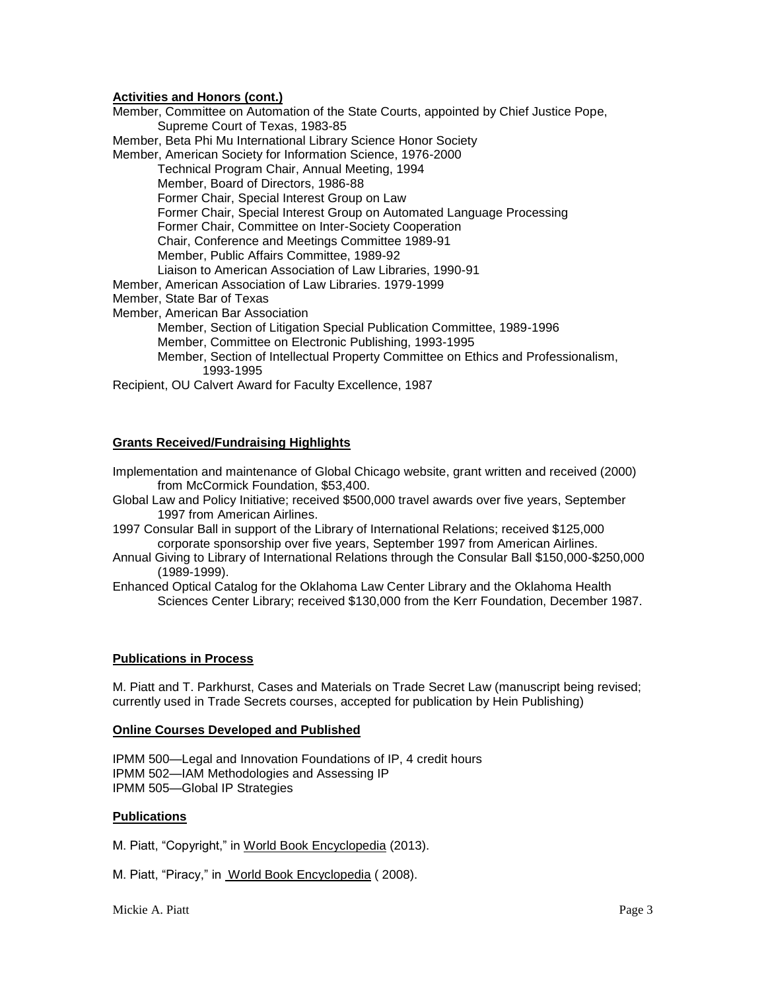# **Activities and Honors (cont.)**

Member, Committee on Automation of the State Courts, appointed by Chief Justice Pope, Supreme Court of Texas, 1983-85 Member, Beta Phi Mu International Library Science Honor Society Member, American Society for Information Science, 1976-2000 Technical Program Chair, Annual Meeting, 1994 Member, Board of Directors, 1986-88 Former Chair, Special Interest Group on Law Former Chair, Special Interest Group on Automated Language Processing Former Chair, Committee on Inter-Society Cooperation Chair, Conference and Meetings Committee 1989-91 Member, Public Affairs Committee, 1989-92 Liaison to American Association of Law Libraries, 1990-91 Member, American Association of Law Libraries. 1979-1999 Member, State Bar of Texas Member, American Bar Association Member, Section of Litigation Special Publication Committee, 1989-1996 Member, Committee on Electronic Publishing, 1993-1995 Member, Section of Intellectual Property Committee on Ethics and Professionalism, 1993-1995 Recipient, OU Calvert Award for Faculty Excellence, 1987

### **Grants Received/Fundraising Highlights**

- Implementation and maintenance of Global Chicago website, grant written and received (2000) from McCormick Foundation, \$53,400.
- Global Law and Policy Initiative; received \$500,000 travel awards over five years, September 1997 from American Airlines.
- 1997 Consular Ball in support of the Library of International Relations; received \$125,000 corporate sponsorship over five years, September 1997 from American Airlines.
- Annual Giving to Library of International Relations through the Consular Ball \$150,000-\$250,000 (1989-1999).
- Enhanced Optical Catalog for the Oklahoma Law Center Library and the Oklahoma Health Sciences Center Library; received \$130,000 from the Kerr Foundation, December 1987.

#### **Publications in Process**

M. Piatt and T. Parkhurst, Cases and Materials on Trade Secret Law (manuscript being revised; currently used in Trade Secrets courses, accepted for publication by Hein Publishing)

#### **Online Courses Developed and Published**

IPMM 500—Legal and Innovation Foundations of IP, 4 credit hours IPMM 502—IAM Methodologies and Assessing IP IPMM 505—Global IP Strategies

#### **Publications**

M. Piatt, "Copyright," in World Book Encyclopedia (2013).

M. Piatt, "Piracy," in World Book Encyclopedia ( 2008).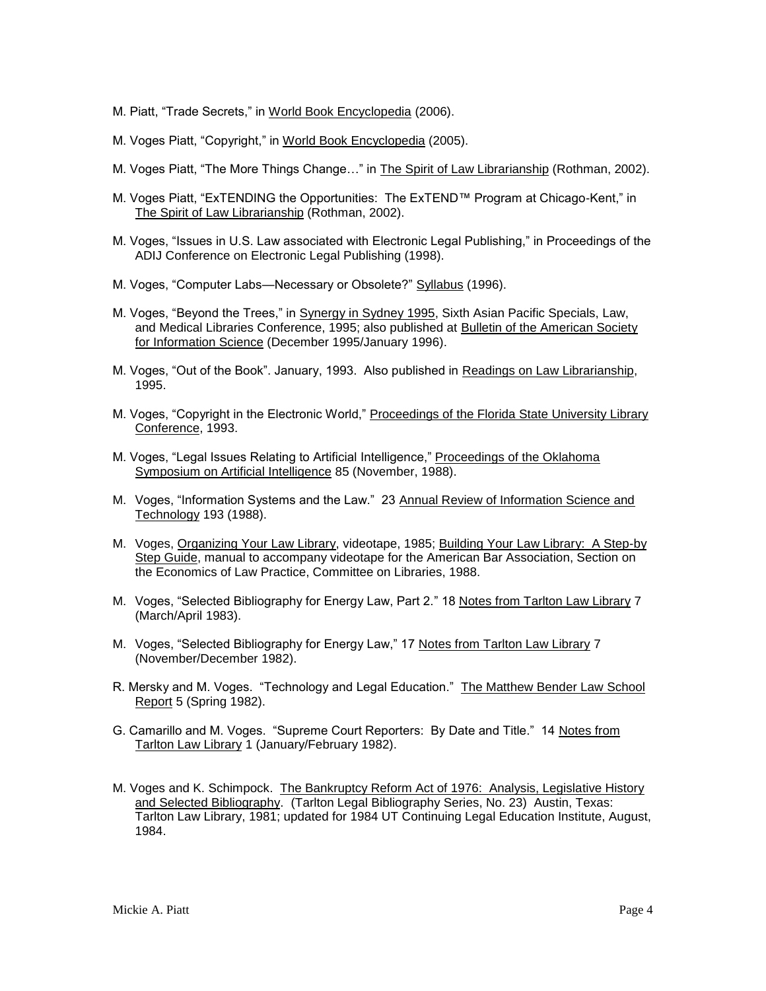- M. Piatt, "Trade Secrets," in World Book Encyclopedia (2006).
- M. Voges Piatt, "Copyright," in World Book Encyclopedia (2005).
- M. Voges Piatt, "The More Things Change..." in The Spirit of Law Librarianship (Rothman, 2002).
- M. Voges Piatt, "ExTENDING the Opportunities: The ExTEND™ Program at Chicago-Kent," in The Spirit of Law Librarianship (Rothman, 2002).
- M. Voges, "Issues in U.S. Law associated with Electronic Legal Publishing," in Proceedings of the ADIJ Conference on Electronic Legal Publishing (1998).
- M. Voges, "Computer Labs—Necessary or Obsolete?" Syllabus (1996).
- M. Voges, "Beyond the Trees," in Synergy in Sydney 1995, Sixth Asian Pacific Specials, Law, and Medical Libraries Conference, 1995; also published at Bulletin of the American Society for Information Science (December 1995/January 1996).
- M. Voges, "Out of the Book". January, 1993. Also published in Readings on Law Librarianship, 1995.
- M. Voges, "Copyright in the Electronic World," Proceedings of the Florida State University Library Conference, 1993.
- M. Voges, "Legal Issues Relating to Artificial Intelligence," Proceedings of the Oklahoma Symposium on Artificial Intelligence 85 (November, 1988).
- M. Voges, "Information Systems and the Law." 23 Annual Review of Information Science and Technology 193 (1988).
- M. Voges, Organizing Your Law Library, videotape, 1985; Building Your Law Library: A Step-by Step Guide, manual to accompany videotape for the American Bar Association, Section on the Economics of Law Practice, Committee on Libraries, 1988.
- M. Voges, "Selected Bibliography for Energy Law, Part 2." 18 Notes from Tarlton Law Library 7 (March/April 1983).
- M. Voges, "Selected Bibliography for Energy Law," 17 Notes from Tarlton Law Library 7 (November/December 1982).
- R. Mersky and M. Voges. "Technology and Legal Education." The Matthew Bender Law School Report 5 (Spring 1982).
- G. Camarillo and M. Voges. "Supreme Court Reporters: By Date and Title." 14 Notes from Tarlton Law Library 1 (January/February 1982).
- M. Voges and K. Schimpock. The Bankruptcy Reform Act of 1976: Analysis, Legislative History and Selected Bibliography. (Tarlton Legal Bibliography Series, No. 23) Austin, Texas: Tarlton Law Library, 1981; updated for 1984 UT Continuing Legal Education Institute, August, 1984.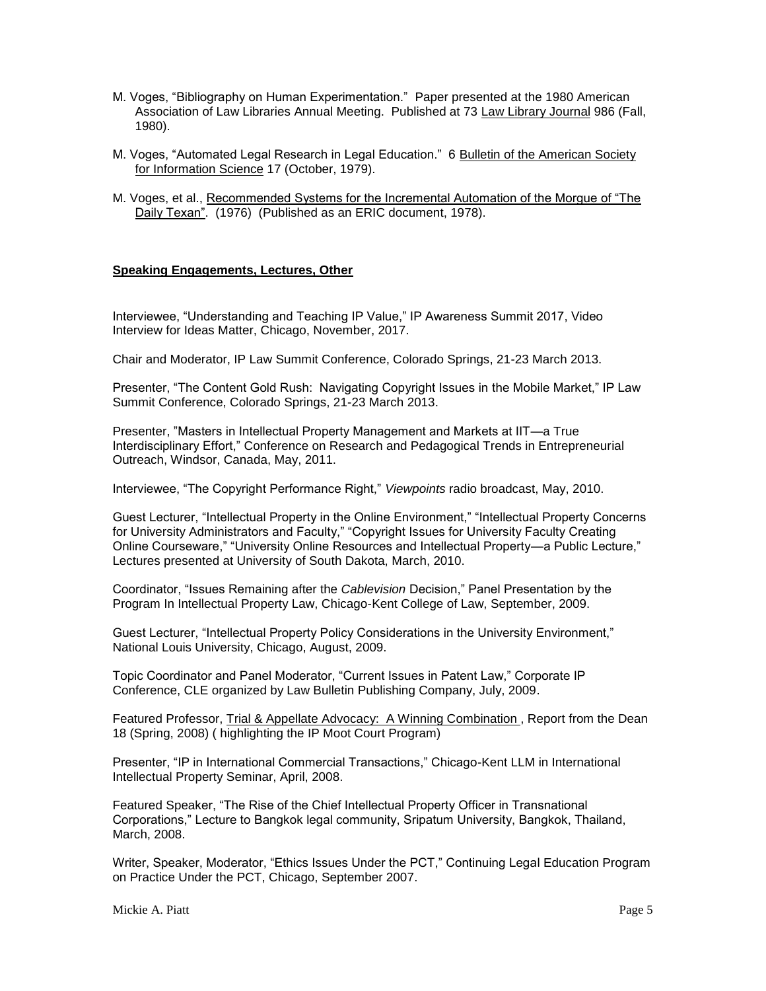- M. Voges, "Bibliography on Human Experimentation." Paper presented at the 1980 American Association of Law Libraries Annual Meeting. Published at 73 Law Library Journal 986 (Fall, 1980).
- M. Voges, "Automated Legal Research in Legal Education." 6 Bulletin of the American Society for Information Science 17 (October, 1979).
- M. Voges, et al., Recommended Systems for the Incremental Automation of the Morgue of "The Daily Texan". (1976) (Published as an ERIC document, 1978).

# **Speaking Engagements, Lectures, Other**

Interviewee, "Understanding and Teaching IP Value," IP Awareness Summit 2017, Video Interview for Ideas Matter, Chicago, November, 2017.

Chair and Moderator, IP Law Summit Conference, Colorado Springs, 21-23 March 2013.

Presenter, "The Content Gold Rush: Navigating Copyright Issues in the Mobile Market," IP Law Summit Conference, Colorado Springs, 21-23 March 2013.

Presenter, "Masters in Intellectual Property Management and Markets at IIT—a True Interdisciplinary Effort," Conference on Research and Pedagogical Trends in Entrepreneurial Outreach, Windsor, Canada, May, 2011.

Interviewee, "The Copyright Performance Right," *Viewpoints* radio broadcast, May, 2010.

Guest Lecturer, "Intellectual Property in the Online Environment," "Intellectual Property Concerns for University Administrators and Faculty," "Copyright Issues for University Faculty Creating Online Courseware," "University Online Resources and Intellectual Property—a Public Lecture," Lectures presented at University of South Dakota, March, 2010.

Coordinator, "Issues Remaining after the *Cablevision* Decision," Panel Presentation by the Program In Intellectual Property Law, Chicago-Kent College of Law, September, 2009.

Guest Lecturer, "Intellectual Property Policy Considerations in the University Environment," National Louis University, Chicago, August, 2009.

Topic Coordinator and Panel Moderator, "Current Issues in Patent Law," Corporate IP Conference, CLE organized by Law Bulletin Publishing Company, July, 2009.

Featured Professor, Trial & Appellate Advocacy: A Winning Combination , Report from the Dean 18 (Spring, 2008) ( highlighting the IP Moot Court Program)

Presenter, "IP in International Commercial Transactions," Chicago-Kent LLM in International Intellectual Property Seminar, April, 2008.

Featured Speaker, "The Rise of the Chief Intellectual Property Officer in Transnational Corporations," Lecture to Bangkok legal community, Sripatum University, Bangkok, Thailand, March, 2008.

Writer, Speaker, Moderator, "Ethics Issues Under the PCT," Continuing Legal Education Program on Practice Under the PCT, Chicago, September 2007.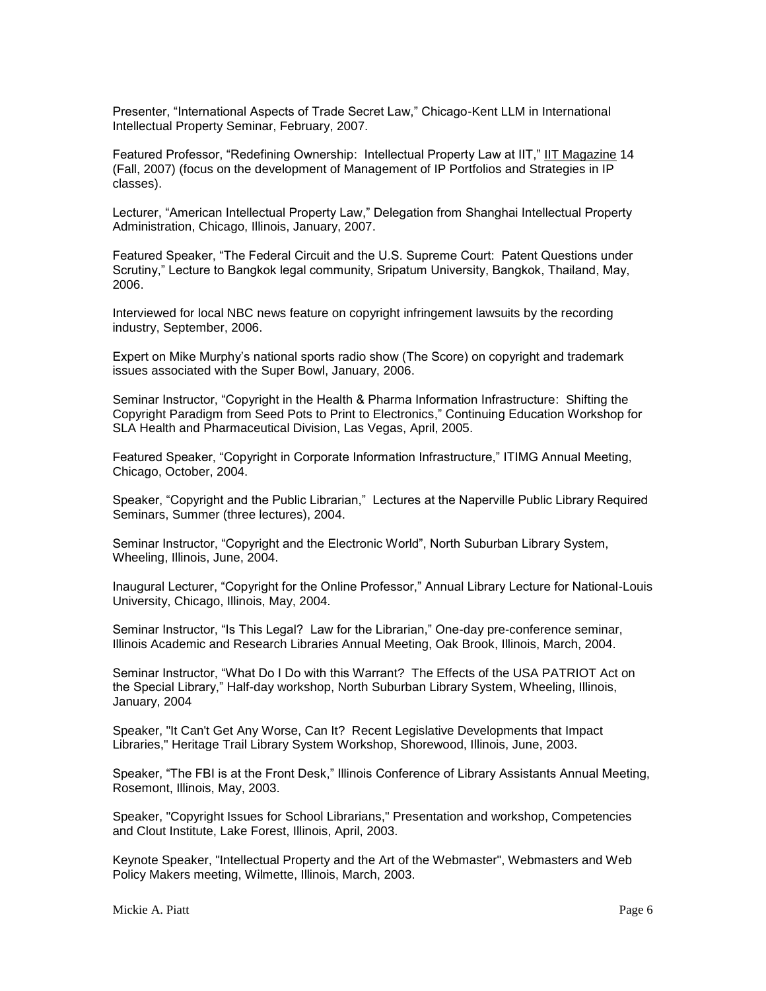Presenter, "International Aspects of Trade Secret Law," Chicago-Kent LLM in International Intellectual Property Seminar, February, 2007.

Featured Professor, "Redefining Ownership: Intellectual Property Law at IIT," IIT Magazine 14 (Fall, 2007) (focus on the development of Management of IP Portfolios and Strategies in IP classes).

Lecturer, "American Intellectual Property Law," Delegation from Shanghai Intellectual Property Administration, Chicago, Illinois, January, 2007.

Featured Speaker, "The Federal Circuit and the U.S. Supreme Court: Patent Questions under Scrutiny," Lecture to Bangkok legal community, Sripatum University, Bangkok, Thailand, May, 2006.

Interviewed for local NBC news feature on copyright infringement lawsuits by the recording industry, September, 2006.

Expert on Mike Murphy's national sports radio show (The Score) on copyright and trademark issues associated with the Super Bowl, January, 2006.

Seminar Instructor, "Copyright in the Health & Pharma Information Infrastructure: Shifting the Copyright Paradigm from Seed Pots to Print to Electronics," Continuing Education Workshop for SLA Health and Pharmaceutical Division, Las Vegas, April, 2005.

Featured Speaker, "Copyright in Corporate Information Infrastructure," ITIMG Annual Meeting, Chicago, October, 2004.

Speaker, "Copyright and the Public Librarian," Lectures at the Naperville Public Library Required Seminars, Summer (three lectures), 2004.

Seminar Instructor, "Copyright and the Electronic World", North Suburban Library System, Wheeling, Illinois, June, 2004.

Inaugural Lecturer, "Copyright for the Online Professor," Annual Library Lecture for National-Louis University, Chicago, Illinois, May, 2004.

Seminar Instructor, "Is This Legal? Law for the Librarian," One-day pre-conference seminar, Illinois Academic and Research Libraries Annual Meeting, Oak Brook, Illinois, March, 2004.

Seminar Instructor, "What Do I Do with this Warrant? The Effects of the USA PATRIOT Act on the Special Library," Half-day workshop, North Suburban Library System, Wheeling, Illinois, January, 2004

Speaker, "It Can't Get Any Worse, Can It? Recent Legislative Developments that Impact Libraries," Heritage Trail Library System Workshop, Shorewood, Illinois, June, 2003.

Speaker, "The FBI is at the Front Desk," Illinois Conference of Library Assistants Annual Meeting, Rosemont, Illinois, May, 2003.

Speaker, "Copyright Issues for School Librarians," Presentation and workshop, Competencies and Clout Institute, Lake Forest, Illinois, April, 2003.

Keynote Speaker, "Intellectual Property and the Art of the Webmaster", Webmasters and Web Policy Makers meeting, Wilmette, Illinois, March, 2003.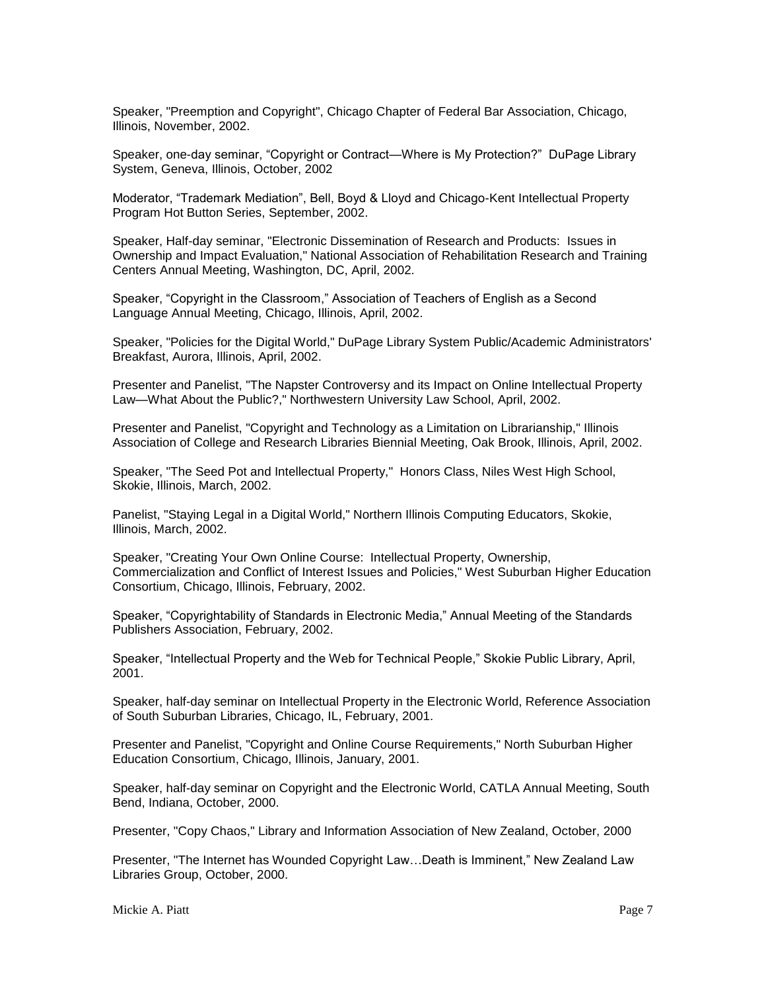Speaker, "Preemption and Copyright", Chicago Chapter of Federal Bar Association, Chicago, Illinois, November, 2002.

Speaker, one-day seminar, "Copyright or Contract—Where is My Protection?" DuPage Library System, Geneva, Illinois, October, 2002

Moderator, "Trademark Mediation", Bell, Boyd & Lloyd and Chicago-Kent Intellectual Property Program Hot Button Series, September, 2002.

Speaker, Half-day seminar, "Electronic Dissemination of Research and Products: Issues in Ownership and Impact Evaluation," National Association of Rehabilitation Research and Training Centers Annual Meeting, Washington, DC, April, 2002.

Speaker, "Copyright in the Classroom," Association of Teachers of English as a Second Language Annual Meeting, Chicago, Illinois, April, 2002.

Speaker, "Policies for the Digital World," DuPage Library System Public/Academic Administrators' Breakfast, Aurora, Illinois, April, 2002.

Presenter and Panelist, "The Napster Controversy and its Impact on Online Intellectual Property Law—What About the Public?," Northwestern University Law School, April, 2002.

Presenter and Panelist, "Copyright and Technology as a Limitation on Librarianship," Illinois Association of College and Research Libraries Biennial Meeting, Oak Brook, Illinois, April, 2002.

Speaker, "The Seed Pot and Intellectual Property," Honors Class, Niles West High School, Skokie, Illinois, March, 2002.

Panelist, "Staying Legal in a Digital World," Northern Illinois Computing Educators, Skokie, Illinois, March, 2002.

Speaker, "Creating Your Own Online Course: Intellectual Property, Ownership, Commercialization and Conflict of Interest Issues and Policies," West Suburban Higher Education Consortium, Chicago, Illinois, February, 2002.

Speaker, "Copyrightability of Standards in Electronic Media," Annual Meeting of the Standards Publishers Association, February, 2002.

Speaker, "Intellectual Property and the Web for Technical People," Skokie Public Library, April, 2001.

Speaker, half-day seminar on Intellectual Property in the Electronic World, Reference Association of South Suburban Libraries, Chicago, IL, February, 2001.

Presenter and Panelist, "Copyright and Online Course Requirements," North Suburban Higher Education Consortium, Chicago, Illinois, January, 2001.

Speaker, half-day seminar on Copyright and the Electronic World, CATLA Annual Meeting, South Bend, Indiana, October, 2000.

Presenter, "Copy Chaos," Library and Information Association of New Zealand, October, 2000

Presenter, "The Internet has Wounded Copyright Law…Death is Imminent," New Zealand Law Libraries Group, October, 2000.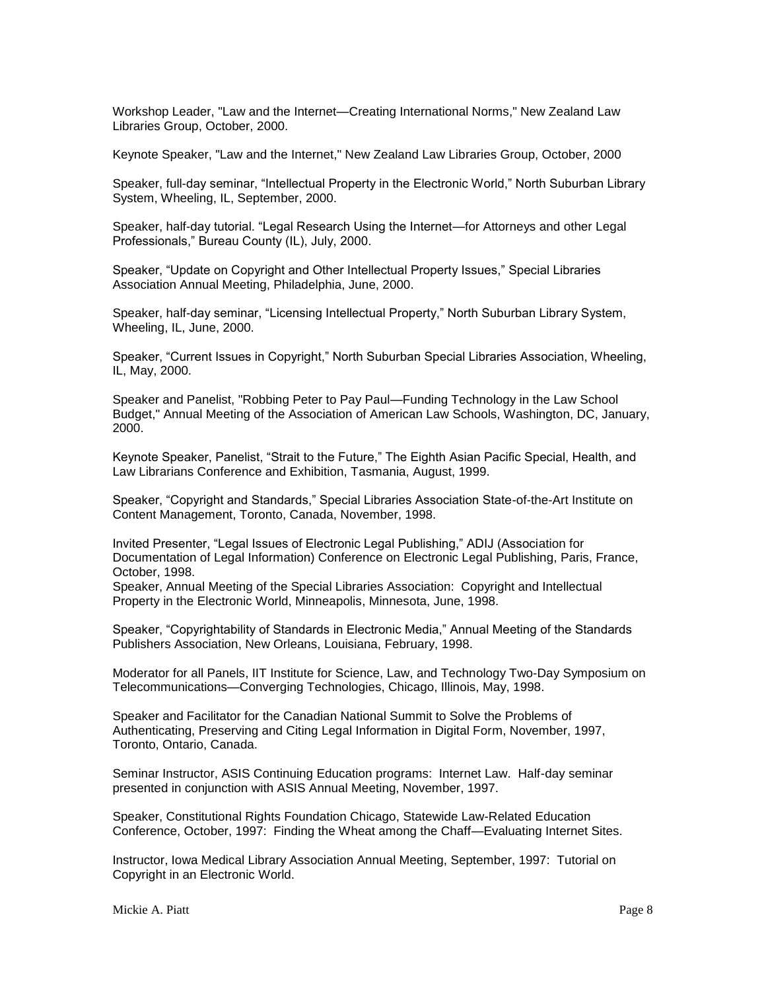Workshop Leader, "Law and the Internet—Creating International Norms," New Zealand Law Libraries Group, October, 2000.

Keynote Speaker, "Law and the Internet," New Zealand Law Libraries Group, October, 2000

Speaker, full-day seminar, "Intellectual Property in the Electronic World," North Suburban Library System, Wheeling, IL, September, 2000.

Speaker, half-day tutorial. "Legal Research Using the Internet—for Attorneys and other Legal Professionals," Bureau County (IL), July, 2000.

Speaker, "Update on Copyright and Other Intellectual Property Issues," Special Libraries Association Annual Meeting, Philadelphia, June, 2000.

Speaker, half-day seminar, "Licensing Intellectual Property," North Suburban Library System, Wheeling, IL, June, 2000.

Speaker, "Current Issues in Copyright," North Suburban Special Libraries Association, Wheeling, IL, May, 2000.

Speaker and Panelist, "Robbing Peter to Pay Paul—Funding Technology in the Law School Budget," Annual Meeting of the Association of American Law Schools, Washington, DC, January, 2000.

Keynote Speaker, Panelist, "Strait to the Future," The Eighth Asian Pacific Special, Health, and Law Librarians Conference and Exhibition, Tasmania, August, 1999.

Speaker, "Copyright and Standards," Special Libraries Association State-of-the-Art Institute on Content Management, Toronto, Canada, November, 1998.

Invited Presenter, "Legal Issues of Electronic Legal Publishing," ADIJ (Association for Documentation of Legal Information) Conference on Electronic Legal Publishing, Paris, France, October, 1998.

Speaker, Annual Meeting of the Special Libraries Association: Copyright and Intellectual Property in the Electronic World, Minneapolis, Minnesota, June, 1998.

Speaker, "Copyrightability of Standards in Electronic Media," Annual Meeting of the Standards Publishers Association, New Orleans, Louisiana, February, 1998.

Moderator for all Panels, IIT Institute for Science, Law, and Technology Two-Day Symposium on Telecommunications—Converging Technologies, Chicago, Illinois, May, 1998.

Speaker and Facilitator for the Canadian National Summit to Solve the Problems of Authenticating, Preserving and Citing Legal Information in Digital Form, November, 1997, Toronto, Ontario, Canada.

Seminar Instructor, ASIS Continuing Education programs: Internet Law. Half-day seminar presented in conjunction with ASIS Annual Meeting, November, 1997.

Speaker, Constitutional Rights Foundation Chicago, Statewide Law-Related Education Conference, October, 1997: Finding the Wheat among the Chaff—Evaluating Internet Sites.

Instructor, Iowa Medical Library Association Annual Meeting, September, 1997: Tutorial on Copyright in an Electronic World.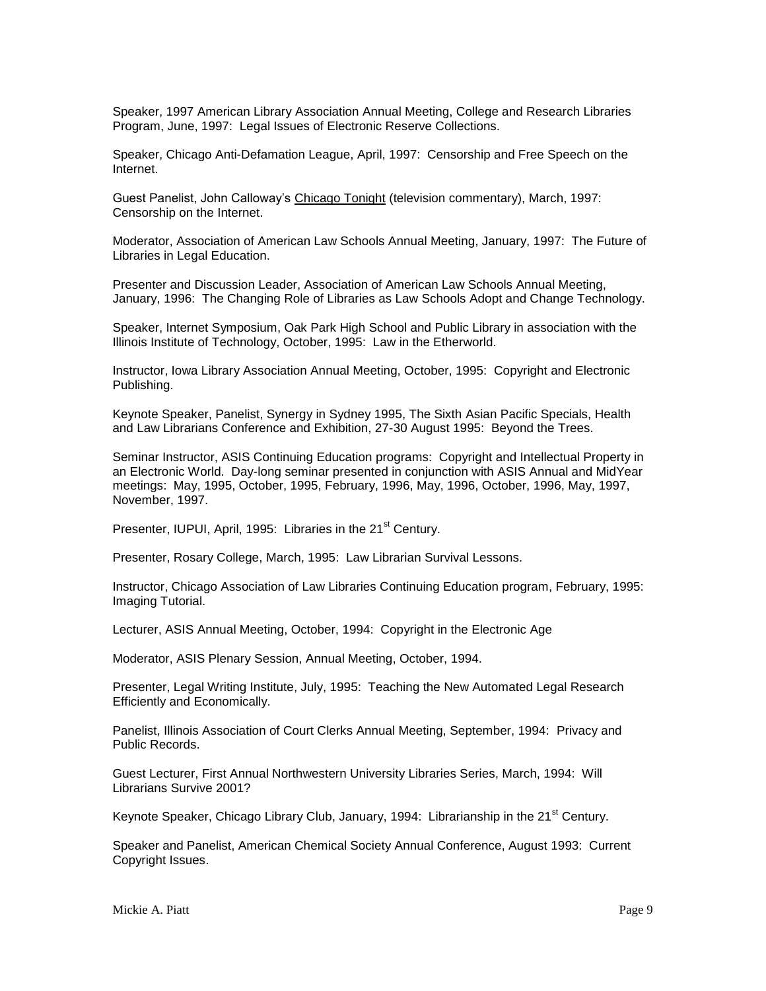Speaker, 1997 American Library Association Annual Meeting, College and Research Libraries Program, June, 1997: Legal Issues of Electronic Reserve Collections.

Speaker, Chicago Anti-Defamation League, April, 1997: Censorship and Free Speech on the Internet.

Guest Panelist, John Calloway's Chicago Tonight (television commentary), March, 1997: Censorship on the Internet.

Moderator, Association of American Law Schools Annual Meeting, January, 1997: The Future of Libraries in Legal Education.

Presenter and Discussion Leader, Association of American Law Schools Annual Meeting, January, 1996: The Changing Role of Libraries as Law Schools Adopt and Change Technology.

Speaker, Internet Symposium, Oak Park High School and Public Library in association with the Illinois Institute of Technology, October, 1995: Law in the Etherworld.

Instructor, Iowa Library Association Annual Meeting, October, 1995: Copyright and Electronic Publishing.

Keynote Speaker, Panelist, Synergy in Sydney 1995, The Sixth Asian Pacific Specials, Health and Law Librarians Conference and Exhibition, 27-30 August 1995: Beyond the Trees.

Seminar Instructor, ASIS Continuing Education programs: Copyright and Intellectual Property in an Electronic World. Day-long seminar presented in conjunction with ASIS Annual and MidYear meetings: May, 1995, October, 1995, February, 1996, May, 1996, October, 1996, May, 1997, November, 1997.

Presenter, IUPUI, April, 1995: Libraries in the 21<sup>st</sup> Century.

Presenter, Rosary College, March, 1995: Law Librarian Survival Lessons.

Instructor, Chicago Association of Law Libraries Continuing Education program, February, 1995: Imaging Tutorial.

Lecturer, ASIS Annual Meeting, October, 1994: Copyright in the Electronic Age

Moderator, ASIS Plenary Session, Annual Meeting, October, 1994.

Presenter, Legal Writing Institute, July, 1995: Teaching the New Automated Legal Research Efficiently and Economically.

Panelist, Illinois Association of Court Clerks Annual Meeting, September, 1994: Privacy and Public Records.

Guest Lecturer, First Annual Northwestern University Libraries Series, March, 1994: Will Librarians Survive 2001?

Keynote Speaker, Chicago Library Club, January, 1994: Librarianship in the 21<sup>st</sup> Century.

Speaker and Panelist, American Chemical Society Annual Conference, August 1993: Current Copyright Issues.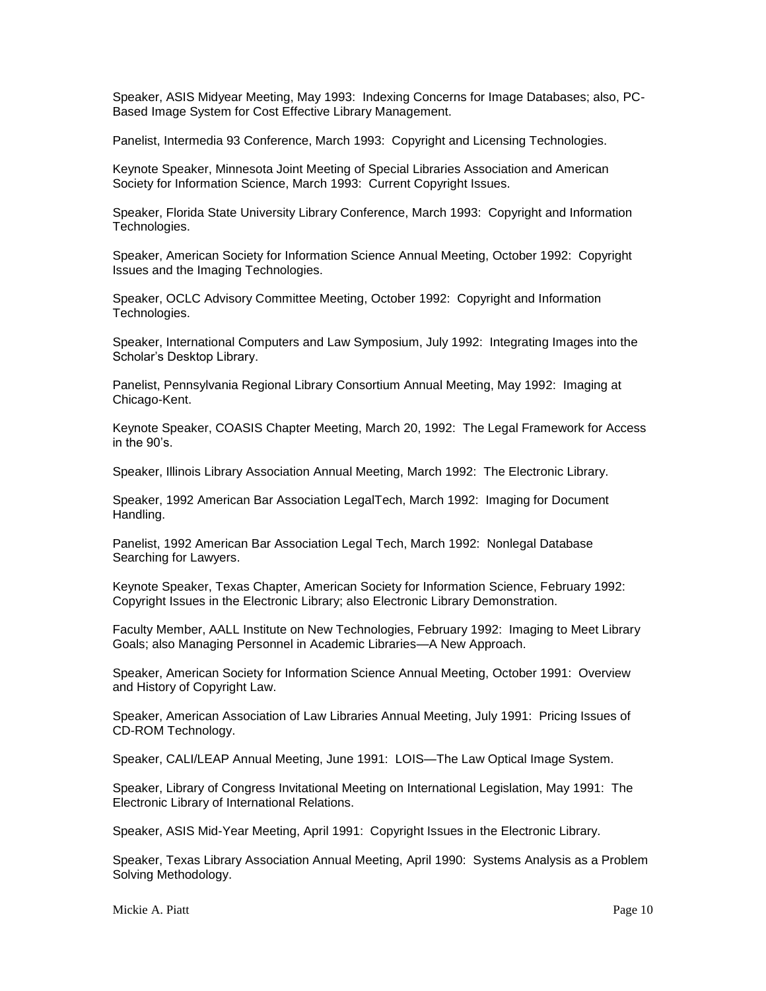Speaker, ASIS Midyear Meeting, May 1993: Indexing Concerns for Image Databases; also, PC-Based Image System for Cost Effective Library Management.

Panelist, Intermedia 93 Conference, March 1993: Copyright and Licensing Technologies.

Keynote Speaker, Minnesota Joint Meeting of Special Libraries Association and American Society for Information Science, March 1993: Current Copyright Issues.

Speaker, Florida State University Library Conference, March 1993: Copyright and Information Technologies.

Speaker, American Society for Information Science Annual Meeting, October 1992: Copyright Issues and the Imaging Technologies.

Speaker, OCLC Advisory Committee Meeting, October 1992: Copyright and Information Technologies.

Speaker, International Computers and Law Symposium, July 1992: Integrating Images into the Scholar's Desktop Library.

Panelist, Pennsylvania Regional Library Consortium Annual Meeting, May 1992: Imaging at Chicago-Kent.

Keynote Speaker, COASIS Chapter Meeting, March 20, 1992: The Legal Framework for Access in the 90's.

Speaker, Illinois Library Association Annual Meeting, March 1992: The Electronic Library.

Speaker, 1992 American Bar Association LegalTech, March 1992: Imaging for Document Handling.

Panelist, 1992 American Bar Association Legal Tech, March 1992: Nonlegal Database Searching for Lawyers.

Keynote Speaker, Texas Chapter, American Society for Information Science, February 1992: Copyright Issues in the Electronic Library; also Electronic Library Demonstration.

Faculty Member, AALL Institute on New Technologies, February 1992: Imaging to Meet Library Goals; also Managing Personnel in Academic Libraries—A New Approach.

Speaker, American Society for Information Science Annual Meeting, October 1991: Overview and History of Copyright Law.

Speaker, American Association of Law Libraries Annual Meeting, July 1991: Pricing Issues of CD-ROM Technology.

Speaker, CALI/LEAP Annual Meeting, June 1991: LOIS—The Law Optical Image System.

Speaker, Library of Congress Invitational Meeting on International Legislation, May 1991: The Electronic Library of International Relations.

Speaker, ASIS Mid-Year Meeting, April 1991: Copyright Issues in the Electronic Library.

Speaker, Texas Library Association Annual Meeting, April 1990: Systems Analysis as a Problem Solving Methodology.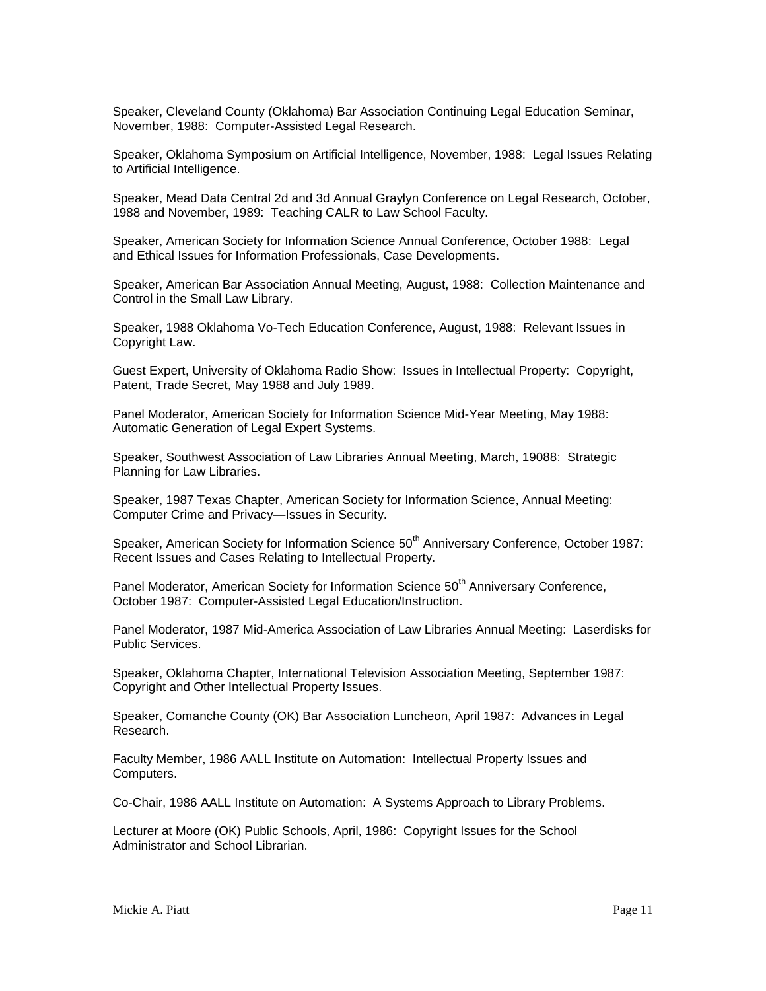Speaker, Cleveland County (Oklahoma) Bar Association Continuing Legal Education Seminar, November, 1988: Computer-Assisted Legal Research.

Speaker, Oklahoma Symposium on Artificial Intelligence, November, 1988: Legal Issues Relating to Artificial Intelligence.

Speaker, Mead Data Central 2d and 3d Annual Graylyn Conference on Legal Research, October, 1988 and November, 1989: Teaching CALR to Law School Faculty.

Speaker, American Society for Information Science Annual Conference, October 1988: Legal and Ethical Issues for Information Professionals, Case Developments.

Speaker, American Bar Association Annual Meeting, August, 1988: Collection Maintenance and Control in the Small Law Library.

Speaker, 1988 Oklahoma Vo-Tech Education Conference, August, 1988: Relevant Issues in Copyright Law.

Guest Expert, University of Oklahoma Radio Show: Issues in Intellectual Property: Copyright, Patent, Trade Secret, May 1988 and July 1989.

Panel Moderator, American Society for Information Science Mid-Year Meeting, May 1988: Automatic Generation of Legal Expert Systems.

Speaker, Southwest Association of Law Libraries Annual Meeting, March, 19088: Strategic Planning for Law Libraries.

Speaker, 1987 Texas Chapter, American Society for Information Science, Annual Meeting: Computer Crime and Privacy—Issues in Security.

Speaker, American Society for Information Science 50<sup>th</sup> Anniversary Conference, October 1987: Recent Issues and Cases Relating to Intellectual Property.

Panel Moderator, American Society for Information Science 50<sup>th</sup> Anniversary Conference, October 1987: Computer-Assisted Legal Education/Instruction.

Panel Moderator, 1987 Mid-America Association of Law Libraries Annual Meeting: Laserdisks for Public Services.

Speaker, Oklahoma Chapter, International Television Association Meeting, September 1987: Copyright and Other Intellectual Property Issues.

Speaker, Comanche County (OK) Bar Association Luncheon, April 1987: Advances in Legal Research.

Faculty Member, 1986 AALL Institute on Automation: Intellectual Property Issues and Computers.

Co-Chair, 1986 AALL Institute on Automation: A Systems Approach to Library Problems.

Lecturer at Moore (OK) Public Schools, April, 1986: Copyright Issues for the School Administrator and School Librarian.